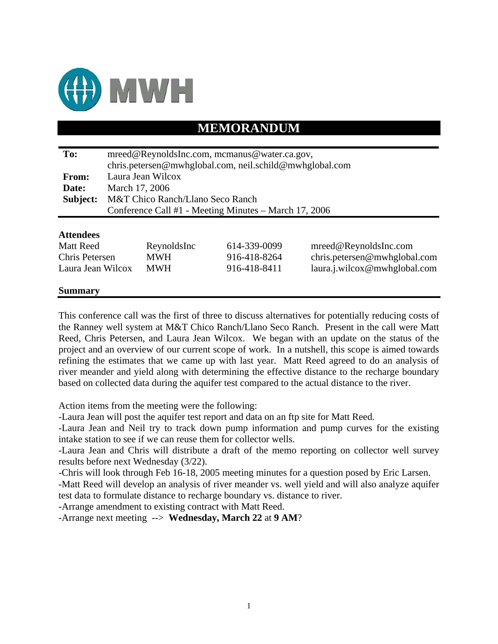

## **MEMORANDUM**

| To:               | mreed@ReynoldsInc.com, mcmanus@water.ca.gov,            |             |              |                              |  |  |  |
|-------------------|---------------------------------------------------------|-------------|--------------|------------------------------|--|--|--|
|                   | chris.petersen@mwhglobal.com, neil.schild@mwhglobal.com |             |              |                              |  |  |  |
| <b>From:</b>      | Laura Jean Wilcox                                       |             |              |                              |  |  |  |
| Date:             | March 17, 2006                                          |             |              |                              |  |  |  |
| Subject:          | M&T Chico Ranch/Llano Seco Ranch                        |             |              |                              |  |  |  |
|                   | Conference Call #1 - Meeting Minutes – March 17, 2006   |             |              |                              |  |  |  |
|                   |                                                         |             |              |                              |  |  |  |
| <b>Attendees</b>  |                                                         |             |              |                              |  |  |  |
| <b>Matt Reed</b>  |                                                         | ReynoldsInc | 614-339-0099 | mreed@ReynoldsInc.com        |  |  |  |
| Chris Petersen    |                                                         | <b>MWH</b>  | 916-418-8264 | chris.petersen@mwhglobal.com |  |  |  |
| Laura Jean Wilcox |                                                         | <b>MWH</b>  | 916-418-8411 | laura.j.wilcox@mwhglobal.com |  |  |  |

#### **Summary**

This conference call was the first of three to discuss alternatives for potentially reducing costs of the Ranney well system at M&T Chico Ranch/Llano Seco Ranch. Present in the call were Matt Reed, Chris Petersen, and Laura Jean Wilcox. We began with an update on the status of the project and an overview of our current scope of work. In a nutshell, this scope is aimed towards refining the estimates that we came up with last year. Matt Reed agreed to do an analysis of river meander and yield along with determining the effective distance to the recharge boundary based on collected data during the aquifer test compared to the actual distance to the river.

Action items from the meeting were the following:

-Laura Jean will post the aquifer test report and data on an ftp site for Matt Reed.

-Laura Jean and Neil try to track down pump information and pump curves for the existing intake station to see if we can reuse them for collector wells.

-Laura Jean and Chris will distribute a draft of the memo reporting on collector well survey results before next Wednesday (3/22).

-Chris will look through Feb 16-18, 2005 meeting minutes for a question posed by Eric Larsen.

-Matt Reed will develop an analysis of river meander vs. well yield and will also analyze aquifer test data to formulate distance to recharge boundary vs. distance to river.

-Arrange amendment to existing contract with Matt Reed.

-Arrange next meeting --> **Wednesday, March 22** at **9 AM**?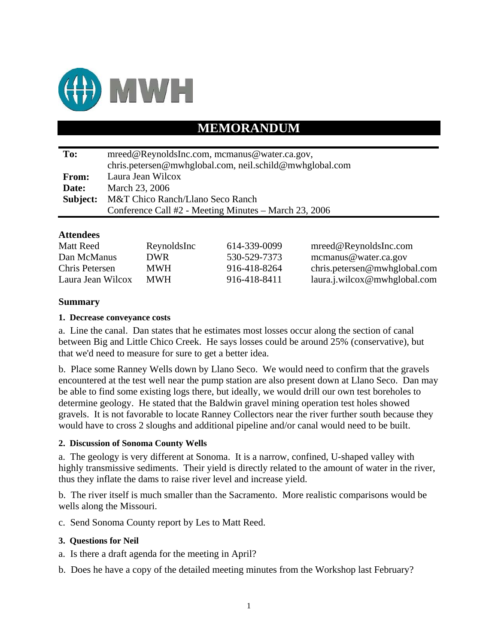

## **MEMORANDUM**

| To:          | mreed@ReynoldsInc.com, mcmanus@water.ca.gov,            |  |  |  |
|--------------|---------------------------------------------------------|--|--|--|
|              | chris.petersen@mwhglobal.com, neil.schild@mwhglobal.com |  |  |  |
| <b>From:</b> | Laura Jean Wilcox                                       |  |  |  |
| Date:        | March 23, 2006                                          |  |  |  |
| Subject:     | M&T Chico Ranch/Llano Seco Ranch                        |  |  |  |
|              | Conference Call #2 - Meeting Minutes - March 23, 2006   |  |  |  |

## **Attendees**

| Matt Reed         | ReynoldsInc | 614-339-0099 | mreed@ReynoldsInc.com         |
|-------------------|-------------|--------------|-------------------------------|
| Dan McManus       | DWR.        | 530-529-7373 | mcmanus@water.ca.gov          |
| Chris Petersen    | <b>MWH</b>  | 916-418-8264 | chris. petersen@mwhglobal.com |
| Laura Jean Wilcox | <b>MWH</b>  | 916-418-8411 | laura.i.wilcox@mwhglobal.com  |

## **Summary**

## **1. Decrease conveyance costs**

a. Line the canal. Dan states that he estimates most losses occur along the section of canal between Big and Little Chico Creek. He says losses could be around 25% (conservative), but that we'd need to measure for sure to get a better idea.

b. Place some Ranney Wells down by Llano Seco. We would need to confirm that the gravels encountered at the test well near the pump station are also present down at Llano Seco. Dan may be able to find some existing logs there, but ideally, we would drill our own test boreholes to determine geology. He stated that the Baldwin gravel mining operation test holes showed gravels. It is not favorable to locate Ranney Collectors near the river further south because they would have to cross 2 sloughs and additional pipeline and/or canal would need to be built.

### **2. Discussion of Sonoma County Wells**

a. The geology is very different at Sonoma. It is a narrow, confined, U-shaped valley with highly transmissive sediments. Their yield is directly related to the amount of water in the river, thus they inflate the dams to raise river level and increase yield.

b. The river itself is much smaller than the Sacramento. More realistic comparisons would be wells along the Missouri.

c. Send Sonoma County report by Les to Matt Reed.

### **3. Questions for Neil**

- a. Is there a draft agenda for the meeting in April?
- b. Does he have a copy of the detailed meeting minutes from the Workshop last February?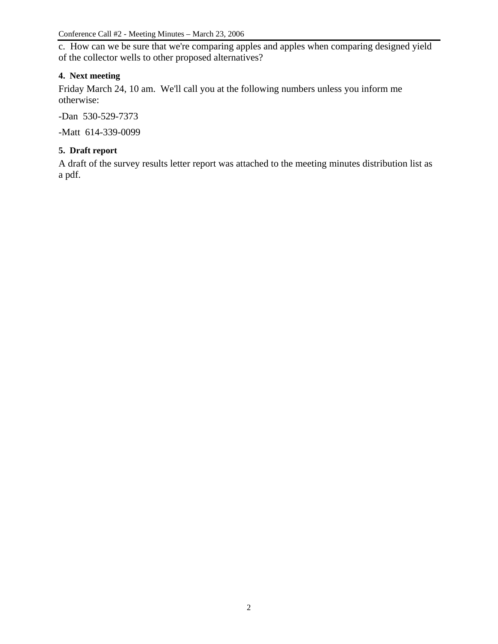c. How can we be sure that we're comparing apples and apples when comparing designed yield of the collector wells to other proposed alternatives?

## **4. Next meeting**

Friday March 24, 10 am. We'll call you at the following numbers unless you inform me otherwise:

-Dan 530-529-7373

-Matt 614-339-0099

### **5. Draft report**

A draft of the survey results letter report was attached to the meeting minutes distribution list as a pdf.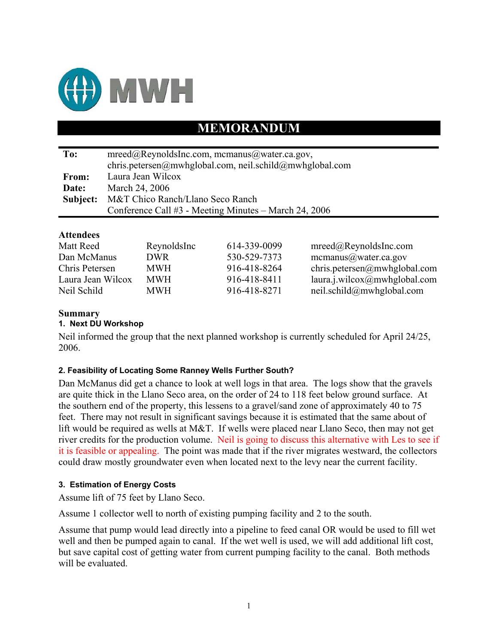

# **MEMORANDUM**

| To:      | $mreed@ReynoldsInc.com$ , mcmanus@water.ca.gov,         |  |  |  |
|----------|---------------------------------------------------------|--|--|--|
|          | chris.petersen@mwhglobal.com, neil.schild@mwhglobal.com |  |  |  |
| From:    | Laura Jean Wilcox                                       |  |  |  |
| Date:    | March 24, 2006                                          |  |  |  |
| Subject: | M&T Chico Ranch/Llano Seco Ranch                        |  |  |  |
|          | Conference Call #3 - Meeting Minutes – March 24, 2006   |  |  |  |
|          |                                                         |  |  |  |

## **Attendees**

| Matt Reed         | ReynoldsInc | 614-339-0099 | mreed@ReynoldsInc.com        |
|-------------------|-------------|--------------|------------------------------|
| Dan McManus       | DWR.        | 530-529-7373 | mcmanus@water.ca.gov         |
| Chris Petersen    | <b>MWH</b>  | 916-418-8264 | chris.petersen@mwhglobal.com |
| Laura Jean Wilcox | <b>MWH</b>  | 916-418-8411 | laura.j.wilcox@mwhglobal.com |
| Neil Schild       | <b>MWH</b>  | 916-418-8271 | neil.schild@mwhglobal.com    |

## **Summary**

### **1. Next DU Workshop**

Neil informed the group that the next planned workshop is currently scheduled for April 24/25, 2006.

### **2. Feasibility of Locating Some Ranney Wells Further South?**

Dan McManus did get a chance to look at well logs in that area. The logs show that the gravels are quite thick in the Llano Seco area, on the order of 24 to 118 feet below ground surface. At the southern end of the property, this lessens to a gravel/sand zone of approximately 40 to 75 feet. There may not result in significant savings because it is estimated that the same about of lift would be required as wells at M&T. If wells were placed near Llano Seco, then may not get river credits for the production volume. Neil is going to discuss this alternative with Les to see if it is feasible or appealing. The point was made that if the river migrates westward, the collectors could draw mostly groundwater even when located next to the levy near the current facility.

### **3. Estimation of Energy Costs**

Assume lift of 75 feet by Llano Seco.

Assume 1 collector well to north of existing pumping facility and 2 to the south.

Assume that pump would lead directly into a pipeline to feed canal OR would be used to fill wet well and then be pumped again to canal. If the wet well is used, we will add additional lift cost, but save capital cost of getting water from current pumping facility to the canal. Both methods will be evaluated.